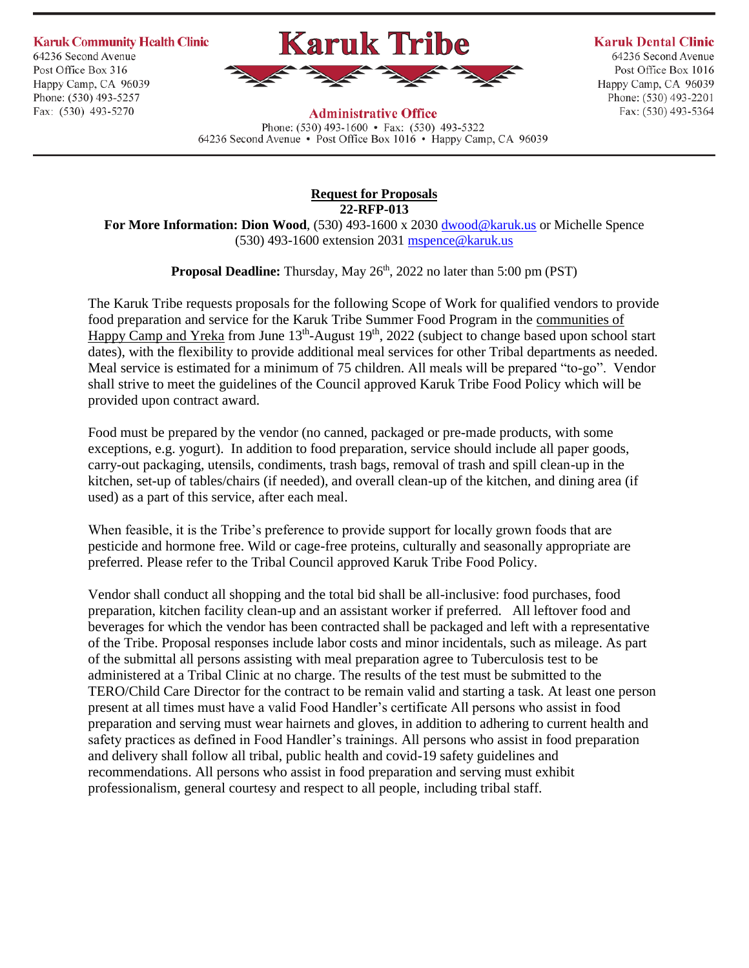**Karuk Community Health Clinic** 

64236 Second Avenue Post Office Box 316 Happy Camp, CA 96039 Phone: (530) 493-5257 Fax: (530) 493-5270



**Karuk Dental Clinic** 

64236 Second Avenue Post Office Box 1016 Happy Camp, CA 96039 Phone: (530) 493-2201 Fax: (530) 493-5364

**Administrative Office** Phone:  $(530)$  493-1600 • Fax:  $(530)$  493-5322 64236 Second Avenue • Post Office Box 1016 • Happy Camp, CA 96039

> **Request for Proposals 22-RFP-013**

**For More Information: Dion Wood**, (530) 493-1600 x 2030 [dwood@karuk.us](mailto:dwood@karuk.us) or Michelle Spence (530) 493-1600 extension 2031 [mspence@karuk.us](mailto:mspence@karuk.us)

**Proposal Deadline:** Thursday, May 26<sup>th</sup>, 2022 no later than 5:00 pm (PST)

The Karuk Tribe requests proposals for the following Scope of Work for qualified vendors to provide food preparation and service for the Karuk Tribe Summer Food Program in the communities of Happy Camp and Yreka from June  $13<sup>th</sup>$ -August  $19<sup>th</sup>$ , 2022 (subject to change based upon school start dates), with the flexibility to provide additional meal services for other Tribal departments as needed. Meal service is estimated for a minimum of 75 children. All meals will be prepared "to-go". Vendor shall strive to meet the guidelines of the Council approved Karuk Tribe Food Policy which will be provided upon contract award.

Food must be prepared by the vendor (no canned, packaged or pre-made products, with some exceptions, e.g. yogurt). In addition to food preparation, service should include all paper goods, carry-out packaging, utensils, condiments, trash bags, removal of trash and spill clean-up in the kitchen, set-up of tables/chairs (if needed), and overall clean-up of the kitchen, and dining area (if used) as a part of this service, after each meal.

When feasible, it is the Tribe's preference to provide support for locally grown foods that are pesticide and hormone free. Wild or cage-free proteins, culturally and seasonally appropriate are preferred. Please refer to the Tribal Council approved Karuk Tribe Food Policy.

Vendor shall conduct all shopping and the total bid shall be all-inclusive: food purchases, food preparation, kitchen facility clean-up and an assistant worker if preferred. All leftover food and beverages for which the vendor has been contracted shall be packaged and left with a representative of the Tribe. Proposal responses include labor costs and minor incidentals, such as mileage. As part of the submittal all persons assisting with meal preparation agree to Tuberculosis test to be administered at a Tribal Clinic at no charge. The results of the test must be submitted to the TERO/Child Care Director for the contract to be remain valid and starting a task. At least one person present at all times must have a valid Food Handler's certificate All persons who assist in food preparation and serving must wear hairnets and gloves, in addition to adhering to current health and safety practices as defined in Food Handler's trainings. All persons who assist in food preparation and delivery shall follow all tribal, public health and covid-19 safety guidelines and recommendations. All persons who assist in food preparation and serving must exhibit professionalism, general courtesy and respect to all people, including tribal staff.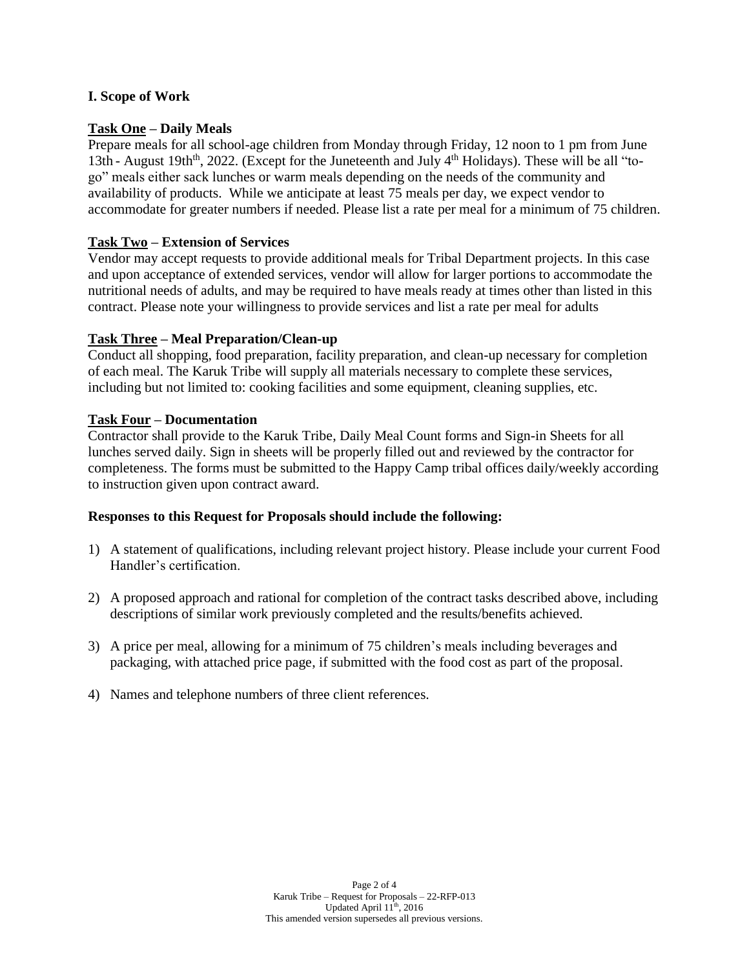## **I. Scope of Work**

# **Task One – Daily Meals**

Prepare meals for all school-age children from Monday through Friday, 12 noon to 1 pm from June 13th - August 19th<sup>th</sup>, 2022. (Except for the Juneteenth and July  $4<sup>th</sup>$  Holidays). These will be all "togo" meals either sack lunches or warm meals depending on the needs of the community and availability of products. While we anticipate at least 75 meals per day, we expect vendor to accommodate for greater numbers if needed. Please list a rate per meal for a minimum of 75 children.

# **Task Two – Extension of Services**

Vendor may accept requests to provide additional meals for Tribal Department projects. In this case and upon acceptance of extended services, vendor will allow for larger portions to accommodate the nutritional needs of adults, and may be required to have meals ready at times other than listed in this contract. Please note your willingness to provide services and list a rate per meal for adults

## **Task Three – Meal Preparation/Clean-up**

Conduct all shopping, food preparation, facility preparation, and clean-up necessary for completion of each meal. The Karuk Tribe will supply all materials necessary to complete these services, including but not limited to: cooking facilities and some equipment, cleaning supplies, etc.

## **Task Four – Documentation**

Contractor shall provide to the Karuk Tribe, Daily Meal Count forms and Sign-in Sheets for all lunches served daily. Sign in sheets will be properly filled out and reviewed by the contractor for completeness. The forms must be submitted to the Happy Camp tribal offices daily/weekly according to instruction given upon contract award.

### **Responses to this Request for Proposals should include the following:**

- 1) A statement of qualifications, including relevant project history. Please include your current Food Handler's certification.
- 2) A proposed approach and rational for completion of the contract tasks described above, including descriptions of similar work previously completed and the results/benefits achieved.
- 3) A price per meal, allowing for a minimum of 75 children's meals including beverages and packaging, with attached price page, if submitted with the food cost as part of the proposal.
- 4) Names and telephone numbers of three client references.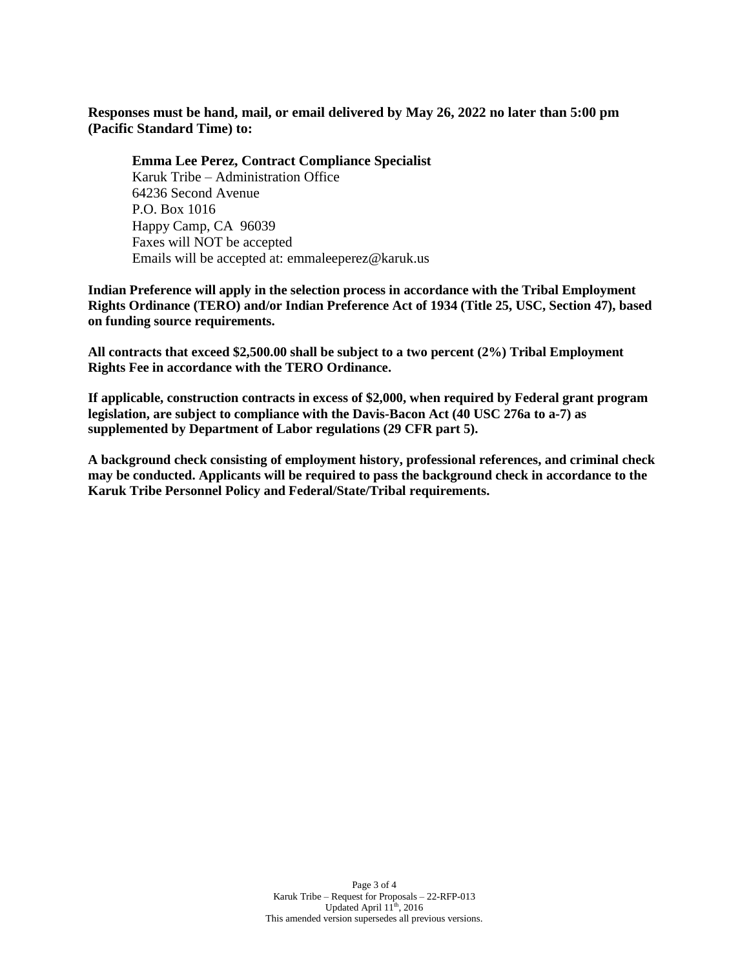**Responses must be hand, mail, or email delivered by May 26, 2022 no later than 5:00 pm (Pacific Standard Time) to:**

**Emma Lee Perez, Contract Compliance Specialist** Karuk Tribe – Administration Office 64236 Second Avenue P.O. Box 1016 Happy Camp, CA 96039 Faxes will NOT be accepted Emails will be accepted at: emmaleeperez@karuk.us

**Indian Preference will apply in the selection process in accordance with the Tribal Employment Rights Ordinance (TERO) and/or Indian Preference Act of 1934 (Title 25, USC, Section 47), based on funding source requirements.**

**All contracts that exceed \$2,500.00 shall be subject to a two percent (2%) Tribal Employment Rights Fee in accordance with the TERO Ordinance.**

**If applicable, construction contracts in excess of \$2,000, when required by Federal grant program legislation, are subject to compliance with the Davis-Bacon Act (40 USC 276a to a-7) as supplemented by Department of Labor regulations (29 CFR part 5).**

**A background check consisting of employment history, professional references, and criminal check may be conducted. Applicants will be required to pass the background check in accordance to the Karuk Tribe Personnel Policy and Federal/State/Tribal requirements.**